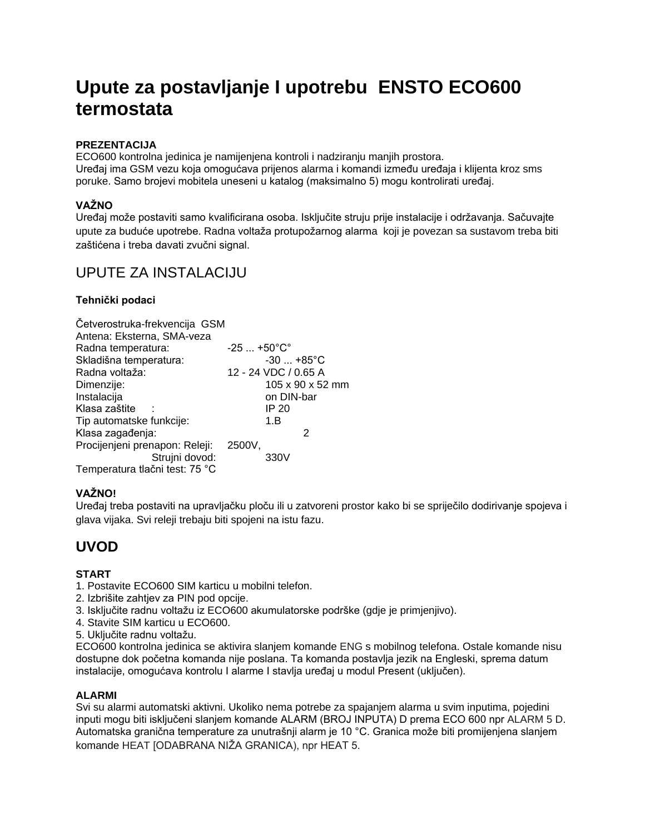# **Upute za postavljanje I upotrebu ENSTO ECO600 termostata**

### **PREZENTACIJA**

ECO600 kontrolna jedinica je namijenjena kontroli i nadziranju manjih prostora. Uređaj ima GSM vezu koja omogućava prijenos alarma i komandi između uređaja i klijenta kroz sms poruke. Samo brojevi mobitela uneseni u katalog (maksimalno 5) mogu kontrolirati uređaj.

### **VAŽNO**

Uređaj može postaviti samo kvalificirana osoba. Isključite struju prije instalacije i održavanja. Sačuvajte upute za buduće upotrebe. Radna voltaža protupožarnog alarma koji je povezan sa sustavom treba biti zaštićena i treba davati zvučni signal.

# UPUTE ZA INSTALACIJU

### **Tehnički podaci**

| Četverostruka-frekvencija GSM  |                                   |
|--------------------------------|-----------------------------------|
| Antena: Eksterna, SMA-veza     |                                   |
| Radna temperatura:             | $-25$ +50 $^{\circ}$ C $^{\circ}$ |
| Skladišna temperatura:         | $-30$ $+85^{\circ}$ C             |
| Radna voltaža:                 | 12 - 24 VDC / 0.65 A              |
| Dimenzije:                     | 105 x 90 x 52 mm                  |
| Instalacija                    | on DIN-bar                        |
| Klasa zaštite                  | IP 20                             |
| Tip automatske funkcije:       | 1.B                               |
| Klasa zagađenja:               | 2                                 |
| Procijenjeni prenapon: Releji: | 2500V.                            |
| Strujni dovod:                 | 330V                              |
| Temperatura tlačni test: 75 °C |                                   |

### **VAŽNO!**

Uređaj treba postaviti na upravljačku ploču ili u zatvoreni prostor kako bi se spriječilo dodirivanje spojeva i glava vijaka. Svi releji trebaju biti spojeni na istu fazu.

# **UVOD**

#### **START**

- 1. Postavite ECO600 SIM karticu u mobilni telefon.
- 2. Izbrišite zahtjev za PIN pod opcije.
- 3. Isključite radnu voltažu iz ECO600 akumulatorske podrške (gdje je primjenjivo).
- 4. Stavite SIM karticu u ECO600.
- 5. Uključite radnu voltažu.

ECO600 kontrolna jedinica se aktivira slanjem komande ENG s mobilnog telefona. Ostale komande nisu dostupne dok početna komanda nije poslana. Ta komanda postavlja jezik na Engleski, sprema datum instalacije, omogućava kontrolu I alarme I stavlja uređaj u modul Present (uključen).

#### **ALARMI**

Svi su alarmi automatski aktivni. Ukoliko nema potrebe za spajanjem alarma u svim inputima, pojedini inputi mogu biti isključeni slanjem komande ALARM (BROJ INPUTA) D prema ECO 600 npr ALARM 5 D. Automatska granična temperature za unutrašnji alarm je 10 °C. Granica može biti promijenjena slanjem komande HEAT [ODABRANA NIŽA GRANICA), npr HEAT 5.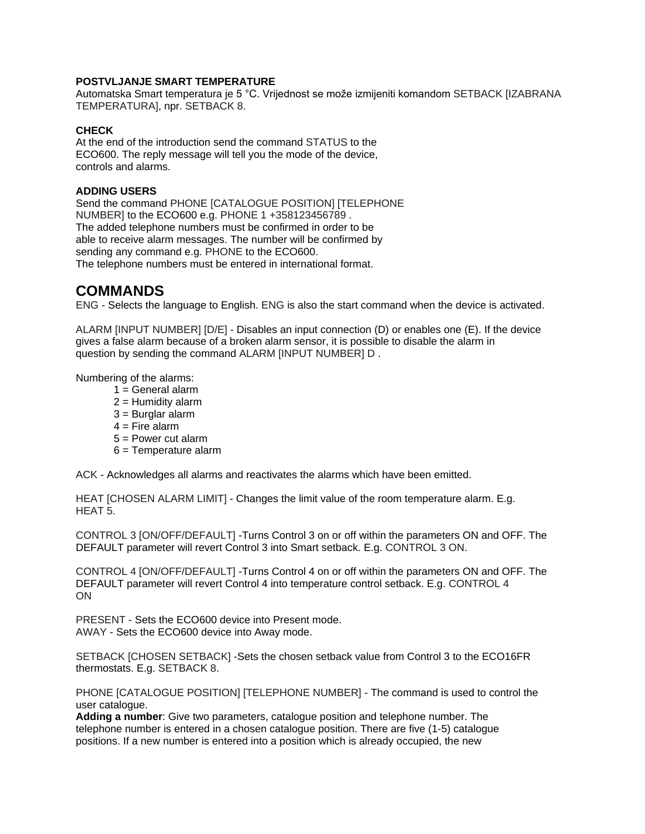#### **POSTVLJANJE SMART TEMPERATURE**

Automatska Smart temperatura je 5 °C. Vrijednost se može izmijeniti komandom SETBACK [IZABRANA TEMPERATURA], npr. SETBACK 8.

#### **CHECK**

At the end of the introduction send the command STATUS to the ECO600. The reply message will tell you the mode of the device, controls and alarms.

#### **ADDING USERS**

Send the command PHONE [CATALOGUE POSITION] [TELEPHONE NUMBER] to the ECO600 e.g. PHONE 1 +358123456789 . The added telephone numbers must be confirmed in order to be able to receive alarm messages. The number will be confirmed by sending any command e.g. PHONE to the ECO600. The telephone numbers must be entered in international format.

# **COMMANDS**

ENG - Selects the language to English. ENG is also the start command when the device is activated.

ALARM [INPUT NUMBER] [D/E] - Disables an input connection (D) or enables one (E). If the device gives a false alarm because of a broken alarm sensor, it is possible to disable the alarm in question by sending the command ALARM [INPUT NUMBER] D .

Numbering of the alarms:

- $1 =$  General alarm
- $2 =$  Humidity alarm
- $3$  = Burglar alarm
- $4 =$  Fire alarm
- 5 = Power cut alarm
- 6 = Temperature alarm

ACK - Acknowledges all alarms and reactivates the alarms which have been emitted.

HEAT [CHOSEN ALARM LIMIT] - Changes the limit value of the room temperature alarm. E.g. HEAT 5.

CONTROL 3 [ON/OFF/DEFAULT] -Turns Control 3 on or off within the parameters ON and OFF. The DEFAULT parameter will revert Control 3 into Smart setback. E.g. CONTROL 3 ON.

CONTROL 4 [ON/OFF/DEFAULT] -Turns Control 4 on or off within the parameters ON and OFF. The DEFAULT parameter will revert Control 4 into temperature control setback. E.g. CONTROL 4 ON

PRESENT - Sets the ECO600 device into Present mode. AWAY - Sets the ECO600 device into Away mode.

SETBACK [CHOSEN SETBACK] -Sets the chosen setback value from Control 3 to the ECO16FR thermostats. E.g. SETBACK 8.

PHONE [CATALOGUE POSITION] [TELEPHONE NUMBER] - The command is used to control the user catalogue.

**Adding a number**: Give two parameters, catalogue position and telephone number. The telephone number is entered in a chosen catalogue position. There are five (1-5) catalogue positions. If a new number is entered into a position which is already occupied, the new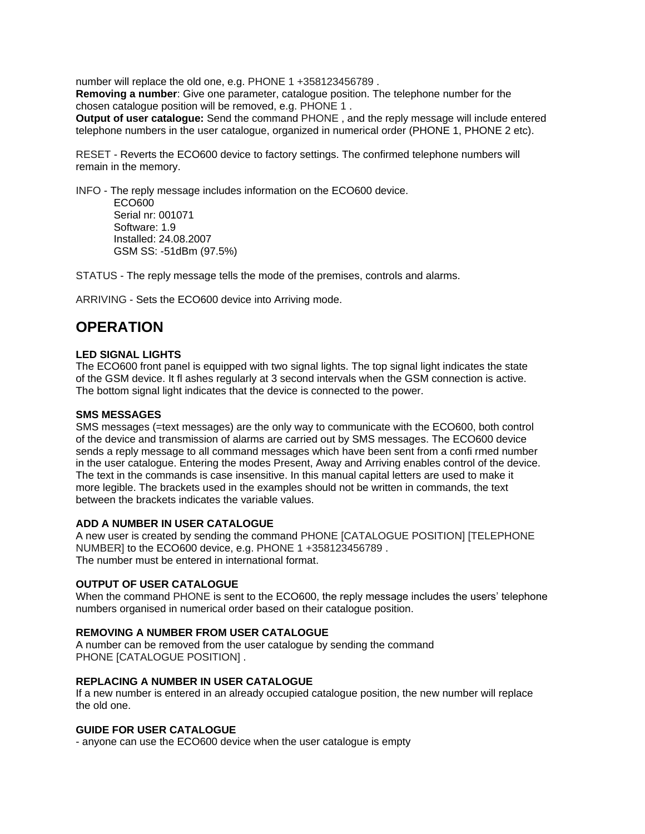number will replace the old one, e.g. PHONE 1 +358123456789 .

**Removing a number**: Give one parameter, catalogue position. The telephone number for the chosen catalogue position will be removed, e.g. PHONE 1 .

**Output of user catalogue:** Send the command PHONE , and the reply message will include entered telephone numbers in the user catalogue, organized in numerical order (PHONE 1, PHONE 2 etc).

RESET - Reverts the ECO600 device to factory settings. The confirmed telephone numbers will remain in the memory.

INFO - The reply message includes information on the ECO600 device. ECO600 Serial nr: 001071 Software: 1.9 Installed: 24.08.2007 GSM SS: -51dBm (97.5%)

STATUS - The reply message tells the mode of the premises, controls and alarms.

ARRIVING - Sets the ECO600 device into Arriving mode.

# **OPERATION**

#### **LED SIGNAL LIGHTS**

The ECO600 front panel is equipped with two signal lights. The top signal light indicates the state of the GSM device. It fl ashes regularly at 3 second intervals when the GSM connection is active. The bottom signal light indicates that the device is connected to the power.

#### **SMS MESSAGES**

SMS messages (=text messages) are the only way to communicate with the ECO600, both control of the device and transmission of alarms are carried out by SMS messages. The ECO600 device sends a reply message to all command messages which have been sent from a confi rmed number in the user catalogue. Entering the modes Present, Away and Arriving enables control of the device. The text in the commands is case insensitive. In this manual capital letters are used to make it more legible. The brackets used in the examples should not be written in commands, the text between the brackets indicates the variable values.

#### **ADD A NUMBER IN USER CATALOGUE**

A new user is created by sending the command PHONE [CATALOGUE POSITION] [TELEPHONE NUMBER] to the ECO600 device, e.g. PHONE 1 +358123456789 . The number must be entered in international format.

#### **OUTPUT OF USER CATALOGUE**

When the command PHONE is sent to the ECO600, the reply message includes the users' telephone numbers organised in numerical order based on their catalogue position.

#### **REMOVING A NUMBER FROM USER CATALOGUE**

A number can be removed from the user catalogue by sending the command PHONE [CATALOGUE POSITION] .

#### **REPLACING A NUMBER IN USER CATALOGUE**

If a new number is entered in an already occupied catalogue position, the new number will replace the old one.

#### **GUIDE FOR USER CATALOGUE**

- anyone can use the ECO600 device when the user catalogue is empty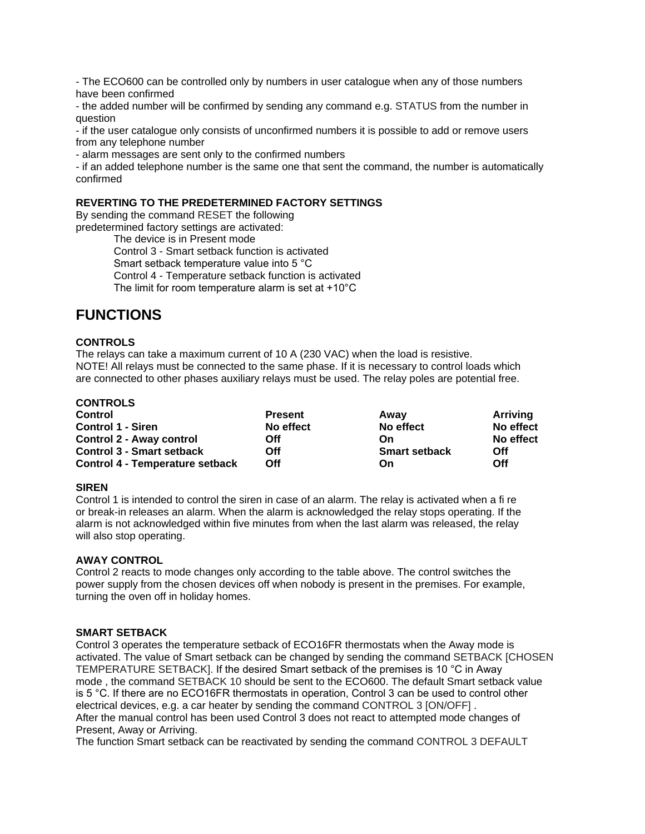- The ECO600 can be controlled only by numbers in user catalogue when any of those numbers have been confirmed

- the added number will be confirmed by sending any command e.g. STATUS from the number in question

- if the user catalogue only consists of unconfirmed numbers it is possible to add or remove users from any telephone number

- alarm messages are sent only to the confirmed numbers

- if an added telephone number is the same one that sent the command, the number is automatically confirmed

#### **REVERTING TO THE PREDETERMINED FACTORY SETTINGS**

By sending the command RESET the following predetermined factory settings are activated:

The device is in Present mode Control 3 - Smart setback function is activated Smart setback temperature value into 5 °C Control 4 - Temperature setback function is activated The limit for room temperature alarm is set at +10°C

# **FUNCTIONS**

#### **CONTROLS**

The relays can take a maximum current of 10 A (230 VAC) when the load is resistive. NOTE! All relays must be connected to the same phase. If it is necessary to control loads which are connected to other phases auxiliary relays must be used. The relay poles are potential free.

| <b>CONTROLS</b>                        |                |                      |           |
|----------------------------------------|----------------|----------------------|-----------|
| Control                                | <b>Present</b> | Away                 | Arriving  |
| Control 1 - Siren                      | No effect      | No effect            | No effect |
| <b>Control 2 - Away control</b>        | Off            | On                   | No effect |
| <b>Control 3 - Smart setback</b>       | Off            | <b>Smart setback</b> | Off       |
| <b>Control 4 - Temperature setback</b> | Off            | On                   | Off       |

#### **SIREN**

Control 1 is intended to control the siren in case of an alarm. The relay is activated when a fi re or break-in releases an alarm. When the alarm is acknowledged the relay stops operating. If the alarm is not acknowledged within five minutes from when the last alarm was released, the relay will also stop operating.

#### **AWAY CONTROL**

Control 2 reacts to mode changes only according to the table above. The control switches the power supply from the chosen devices off when nobody is present in the premises. For example, turning the oven off in holiday homes.

#### **SMART SETBACK**

Control 3 operates the temperature setback of ECO16FR thermostats when the Away mode is activated. The value of Smart setback can be changed by sending the command SETBACK [CHOSEN TEMPERATURE SETBACK]. If the desired Smart setback of the premises is 10 °C in Away mode , the command SETBACK 10 should be sent to the ECO600. The default Smart setback value is 5 °C. If there are no ECO16FR thermostats in operation, Control 3 can be used to control other electrical devices, e.g. a car heater by sending the command CONTROL 3 [ON/OFF] . After the manual control has been used Control 3 does not react to attempted mode changes of Present, Away or Arriving.

The function Smart setback can be reactivated by sending the command CONTROL 3 DEFAULT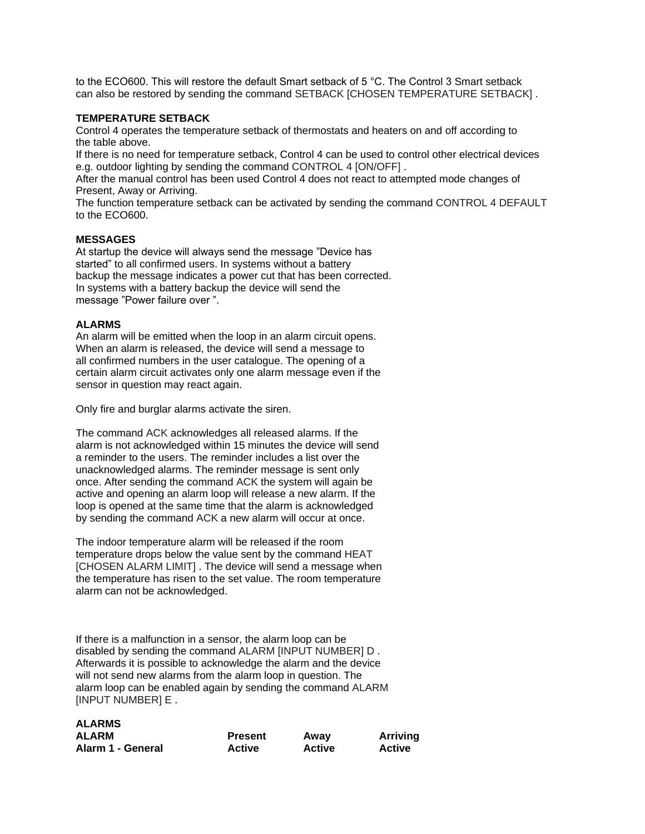to the ECO600. This will restore the default Smart setback of 5 °C. The Control 3 Smart setback can also be restored by sending the command SETBACK [CHOSEN TEMPERATURE SETBACK] .

#### **TEMPERATURE SETBACK**

Control 4 operates the temperature setback of thermostats and heaters on and off according to the table above.

If there is no need for temperature setback, Control 4 can be used to control other electrical devices e.g. outdoor lighting by sending the command CONTROL 4 [ON/OFF] .

After the manual control has been used Control 4 does not react to attempted mode changes of Present, Away or Arriving.

The function temperature setback can be activated by sending the command CONTROL 4 DEFAULT to the ECO600.

#### **MESSAGES**

At startup the device will always send the message "Device has started" to all confirmed users. In systems without a battery backup the message indicates a power cut that has been corrected. In systems with a battery backup the device will send the message "Power failure over ".

#### **ALARMS**

An alarm will be emitted when the loop in an alarm circuit opens. When an alarm is released, the device will send a message to all confirmed numbers in the user catalogue. The opening of a certain alarm circuit activates only one alarm message even if the sensor in question may react again.

Only fire and burglar alarms activate the siren.

The command ACK acknowledges all released alarms. If the alarm is not acknowledged within 15 minutes the device will send a reminder to the users. The reminder includes a list over the unacknowledged alarms. The reminder message is sent only once. After sending the command ACK the system will again be active and opening an alarm loop will release a new alarm. If the loop is opened at the same time that the alarm is acknowledged by sending the command ACK a new alarm will occur at once.

The indoor temperature alarm will be released if the room temperature drops below the value sent by the command HEAT [CHOSEN ALARM LIMIT] . The device will send a message when the temperature has risen to the set value. The room temperature alarm can not be acknowledged.

If there is a malfunction in a sensor, the alarm loop can be disabled by sending the command ALARM [INPUT NUMBER] D . Afterwards it is possible to acknowledge the alarm and the device will not send new alarms from the alarm loop in question. The alarm loop can be enabled again by sending the command ALARM [INPUT NUMBER] E .

| <b>ALARMS</b>     |                |               |                 |
|-------------------|----------------|---------------|-----------------|
| <b>ALARM</b>      | <b>Present</b> | Away          | <b>Arriving</b> |
| Alarm 1 - General | <b>Active</b>  | <b>Active</b> | <b>Active</b>   |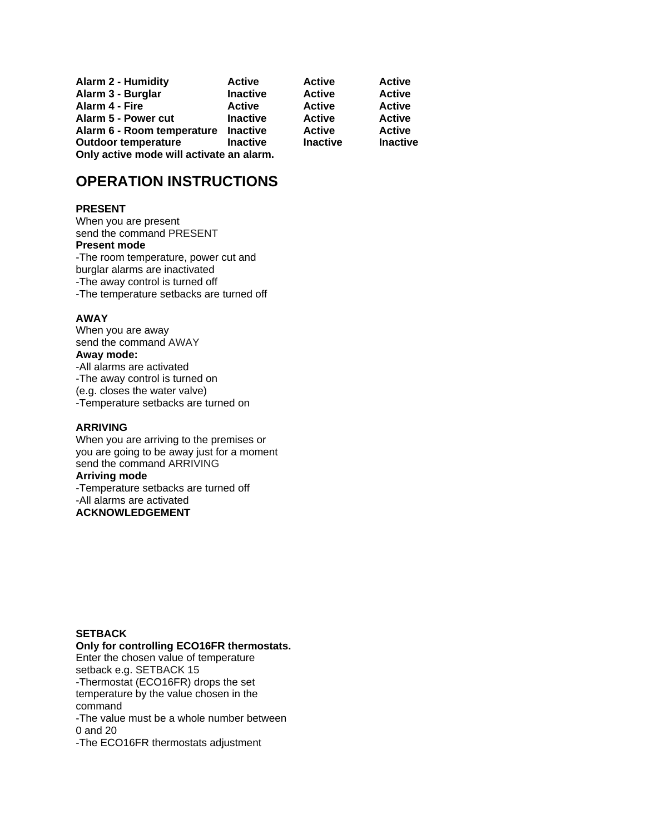| <b>Alarm 2 - Humidity</b>                | <b>Active</b>   | <b>Active</b>   | <b>Active</b>   |
|------------------------------------------|-----------------|-----------------|-----------------|
| Alarm 3 - Burglar                        | <b>Inactive</b> | <b>Active</b>   | <b>Active</b>   |
| Alarm 4 - Fire                           | <b>Active</b>   | <b>Active</b>   | <b>Active</b>   |
| Alarm 5 - Power cut                      | <b>Inactive</b> | <b>Active</b>   | <b>Active</b>   |
| Alarm 6 - Room temperature               | <b>Inactive</b> | <b>Active</b>   | <b>Active</b>   |
| <b>Outdoor temperature</b>               | <b>Inactive</b> | <b>Inactive</b> | <b>Inactive</b> |
| Only active mode will activate an alarm. |                 |                 |                 |

# **OPERATION INSTRUCTIONS**

#### **PRESENT**

When you are present send the command PRESENT **Present mode** -The room temperature, power cut and burglar alarms are inactivated -The away control is turned off -The temperature setbacks are turned off

#### **AWAY**

When you are away send the command AWAY **Away mode:** -All alarms are activated -The away control is turned on (e.g. closes the water valve) -Temperature setbacks are turned on

#### **ARRIVING**

When you are arriving to the premises or you are going to be away just for a moment send the command ARRIVING **Arriving mode**

-Temperature setbacks are turned off -All alarms are activated **ACKNOWLEDGEMENT**

### **SETBACK**

#### **Only for controlling ECO16FR thermostats.**

Enter the chosen value of temperature setback e.g. SETBACK 15 -Thermostat (ECO16FR) drops the set temperature by the value chosen in the command

-The value must be a whole number between 0 and 20

-The ECO16FR thermostats adjustment